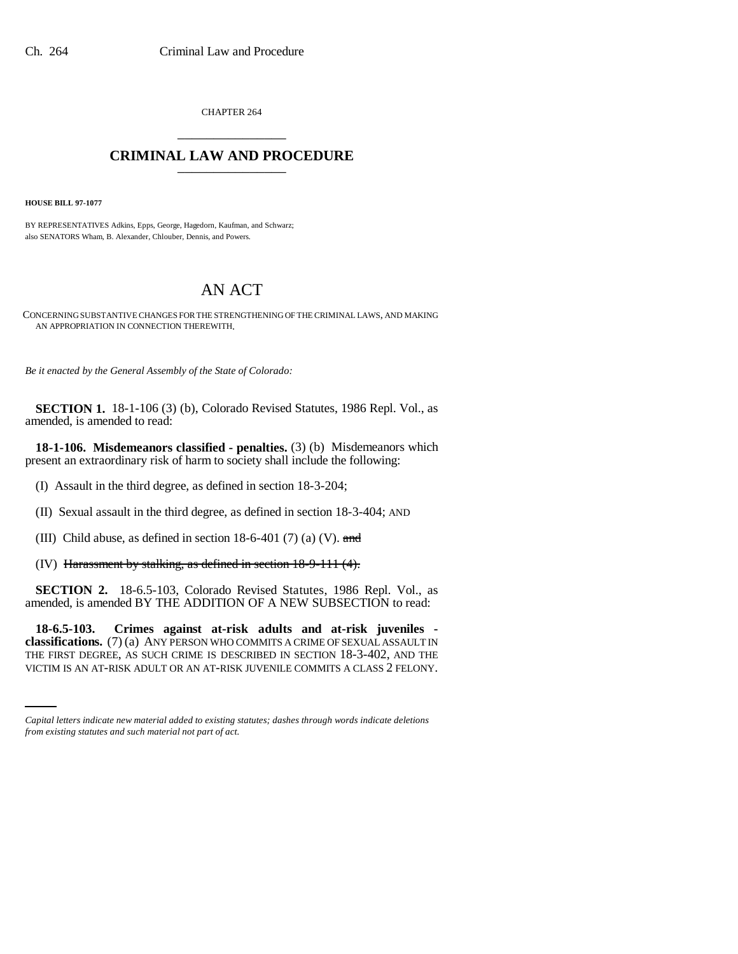CHAPTER 264 \_\_\_\_\_\_\_\_\_\_\_\_\_\_\_

## **CRIMINAL LAW AND PROCEDURE** \_\_\_\_\_\_\_\_\_\_\_\_\_\_\_

**HOUSE BILL 97-1077**

BY REPRESENTATIVES Adkins, Epps, George, Hagedorn, Kaufman, and Schwarz; also SENATORS Wham, B. Alexander, Chlouber, Dennis, and Powers.

# AN ACT

CONCERNING SUBSTANTIVE CHANGES FOR THE STRENGTHENING OF THE CRIMINAL LAWS, AND MAKING AN APPROPRIATION IN CONNECTION THEREWITH.

*Be it enacted by the General Assembly of the State of Colorado:*

**SECTION 1.** 18-1-106 (3) (b), Colorado Revised Statutes, 1986 Repl. Vol., as amended, is amended to read:

**18-1-106. Misdemeanors classified - penalties.** (3) (b) Misdemeanors which present an extraordinary risk of harm to society shall include the following:

(I) Assault in the third degree, as defined in section 18-3-204;

(II) Sexual assault in the third degree, as defined in section 18-3-404; AND

(III) Child abuse, as defined in section  $18-6-401$  (7) (a) (V). and

(IV) Harassment by stalking, as defined in section 18-9-111 (4).

**SECTION 2.** 18-6.5-103, Colorado Revised Statutes, 1986 Repl. Vol., as amended, is amended BY THE ADDITION OF A NEW SUBSECTION to read:

 **classifications.** (7) (a) ANY PERSON WHO COMMITS A CRIME OF SEXUAL ASSAULT IN **18-6.5-103. Crimes against at-risk adults and at-risk juveniles -** THE FIRST DEGREE, AS SUCH CRIME IS DESCRIBED IN SECTION 18-3-402, AND THE VICTIM IS AN AT-RISK ADULT OR AN AT-RISK JUVENILE COMMITS A CLASS 2 FELONY.

*Capital letters indicate new material added to existing statutes; dashes through words indicate deletions from existing statutes and such material not part of act.*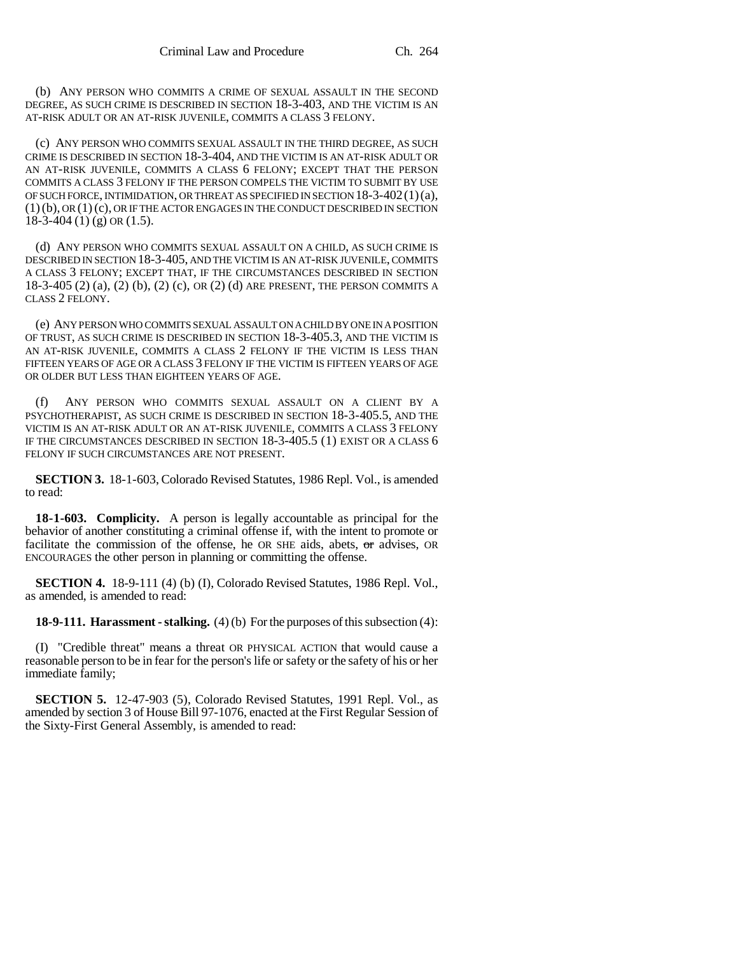(b) ANY PERSON WHO COMMITS A CRIME OF SEXUAL ASSAULT IN THE SECOND DEGREE, AS SUCH CRIME IS DESCRIBED IN SECTION 18-3-403, AND THE VICTIM IS AN AT-RISK ADULT OR AN AT-RISK JUVENILE, COMMITS A CLASS 3 FELONY.

(c) ANY PERSON WHO COMMITS SEXUAL ASSAULT IN THE THIRD DEGREE, AS SUCH CRIME IS DESCRIBED IN SECTION 18-3-404, AND THE VICTIM IS AN AT-RISK ADULT OR AN AT-RISK JUVENILE, COMMITS A CLASS 6 FELONY; EXCEPT THAT THE PERSON COMMITS A CLASS 3 FELONY IF THE PERSON COMPELS THE VICTIM TO SUBMIT BY USE OF SUCH FORCE, INTIMIDATION, OR THREAT AS SPECIFIED IN SECTION 18-3-402(1)(a), (1)(b), OR (1)(c), OR IF THE ACTOR ENGAGES IN THE CONDUCT DESCRIBED IN SECTION  $18-3-404(1)(g)$  OR  $(1.5)$ .

(d) ANY PERSON WHO COMMITS SEXUAL ASSAULT ON A CHILD, AS SUCH CRIME IS DESCRIBED IN SECTION 18-3-405, AND THE VICTIM IS AN AT-RISK JUVENILE, COMMITS A CLASS 3 FELONY; EXCEPT THAT, IF THE CIRCUMSTANCES DESCRIBED IN SECTION 18-3-405 (2) (a), (2) (b), (2) (c), OR (2) (d) ARE PRESENT, THE PERSON COMMITS A CLASS 2 FELONY.

(e) ANY PERSON WHO COMMITS SEXUAL ASSAULT ON A CHILD BY ONE IN A POSITION OF TRUST, AS SUCH CRIME IS DESCRIBED IN SECTION 18-3-405.3, AND THE VICTIM IS AN AT-RISK JUVENILE, COMMITS A CLASS 2 FELONY IF THE VICTIM IS LESS THAN FIFTEEN YEARS OF AGE OR A CLASS 3 FELONY IF THE VICTIM IS FIFTEEN YEARS OF AGE OR OLDER BUT LESS THAN EIGHTEEN YEARS OF AGE.

(f) ANY PERSON WHO COMMITS SEXUAL ASSAULT ON A CLIENT BY A PSYCHOTHERAPIST, AS SUCH CRIME IS DESCRIBED IN SECTION 18-3-405.5, AND THE VICTIM IS AN AT-RISK ADULT OR AN AT-RISK JUVENILE, COMMITS A CLASS 3 FELONY IF THE CIRCUMSTANCES DESCRIBED IN SECTION 18-3-405.5 (1) EXIST OR A CLASS 6 FELONY IF SUCH CIRCUMSTANCES ARE NOT PRESENT.

**SECTION 3.** 18-1-603, Colorado Revised Statutes, 1986 Repl. Vol., is amended to read:

**18-1-603. Complicity.** A person is legally accountable as principal for the behavior of another constituting a criminal offense if, with the intent to promote or facilitate the commission of the offense, he OR SHE aids, abets, or advises, OR ENCOURAGES the other person in planning or committing the offense.

**SECTION 4.** 18-9-111 (4) (b) (I), Colorado Revised Statutes, 1986 Repl. Vol., as amended, is amended to read:

**18-9-111. Harassment - stalking.** (4) (b) For the purposes of this subsection (4):

(I) "Credible threat" means a threat OR PHYSICAL ACTION that would cause a reasonable person to be in fear for the person's life or safety or the safety of his or her immediate family;

**SECTION 5.** 12-47-903 (5), Colorado Revised Statutes, 1991 Repl. Vol., as amended by section 3 of House Bill 97-1076, enacted at the First Regular Session of the Sixty-First General Assembly, is amended to read: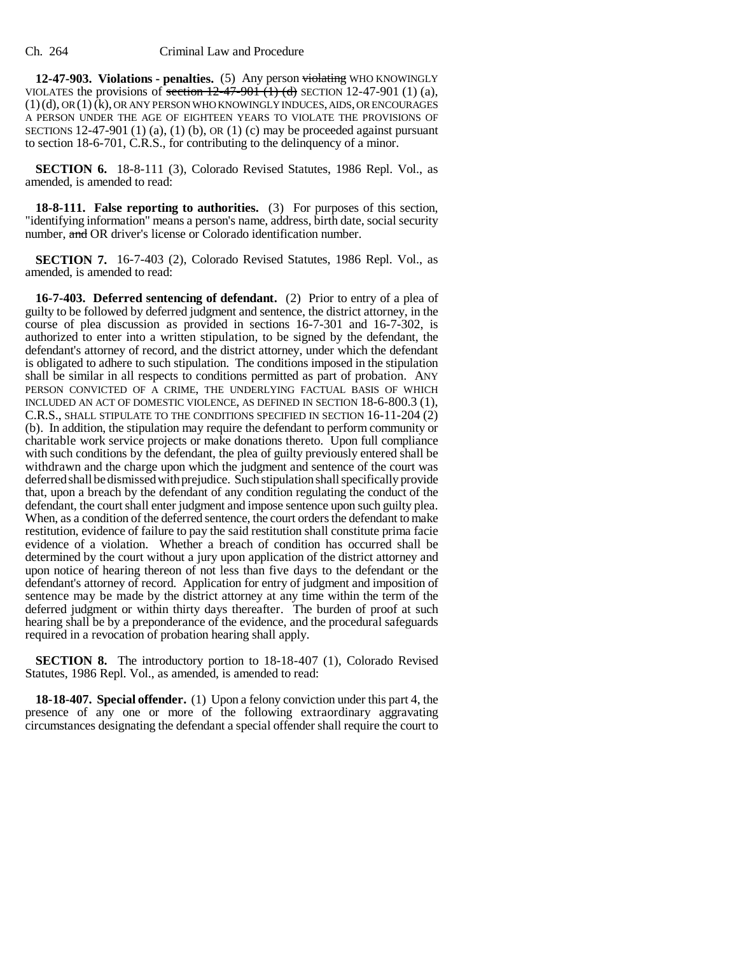**12-47-903. Violations - penalties.** (5) Any person violating WHO KNOWINGLY VIOLATES the provisions of section  $12-47-901$  (1) (d) SECTION 12-47-901 (1) (a), (1)(d), OR (1) (k), OR ANY PERSON WHO KNOWINGLY INDUCES, AIDS, OR ENCOURAGES A PERSON UNDER THE AGE OF EIGHTEEN YEARS TO VIOLATE THE PROVISIONS OF SECTIONS 12-47-901 (1) (a), (1) (b), OR (1) (c) may be proceeded against pursuant to section 18-6-701, C.R.S., for contributing to the delinquency of a minor.

**SECTION 6.** 18-8-111 (3), Colorado Revised Statutes, 1986 Repl. Vol., as amended, is amended to read:

**18-8-111. False reporting to authorities.** (3) For purposes of this section, "identifying information" means a person's name, address, birth date, social security number, and OR driver's license or Colorado identification number.

**SECTION 7.** 16-7-403 (2), Colorado Revised Statutes, 1986 Repl. Vol., as amended, is amended to read:

**16-7-403. Deferred sentencing of defendant.** (2) Prior to entry of a plea of guilty to be followed by deferred judgment and sentence, the district attorney, in the course of plea discussion as provided in sections 16-7-301 and 16-7-302, is authorized to enter into a written stipulation, to be signed by the defendant, the defendant's attorney of record, and the district attorney, under which the defendant is obligated to adhere to such stipulation. The conditions imposed in the stipulation shall be similar in all respects to conditions permitted as part of probation. ANY PERSON CONVICTED OF A CRIME, THE UNDERLYING FACTUAL BASIS OF WHICH INCLUDED AN ACT OF DOMESTIC VIOLENCE, AS DEFINED IN SECTION 18-6-800.3 (1), C.R.S., SHALL STIPULATE TO THE CONDITIONS SPECIFIED IN SECTION 16-11-204 (2) (b). In addition, the stipulation may require the defendant to perform community or charitable work service projects or make donations thereto. Upon full compliance with such conditions by the defendant, the plea of guilty previously entered shall be withdrawn and the charge upon which the judgment and sentence of the court was deferred shall be dismissed with prejudice. Such stipulation shall specifically provide that, upon a breach by the defendant of any condition regulating the conduct of the defendant, the court shall enter judgment and impose sentence upon such guilty plea. When, as a condition of the deferred sentence, the court orders the defendant to make restitution, evidence of failure to pay the said restitution shall constitute prima facie evidence of a violation. Whether a breach of condition has occurred shall be determined by the court without a jury upon application of the district attorney and upon notice of hearing thereon of not less than five days to the defendant or the defendant's attorney of record. Application for entry of judgment and imposition of sentence may be made by the district attorney at any time within the term of the deferred judgment or within thirty days thereafter. The burden of proof at such hearing shall be by a preponderance of the evidence, and the procedural safeguards required in a revocation of probation hearing shall apply.

**SECTION 8.** The introductory portion to 18-18-407 (1), Colorado Revised Statutes, 1986 Repl. Vol., as amended, is amended to read:

**18-18-407. Special offender.** (1) Upon a felony conviction under this part 4, the presence of any one or more of the following extraordinary aggravating circumstances designating the defendant a special offender shall require the court to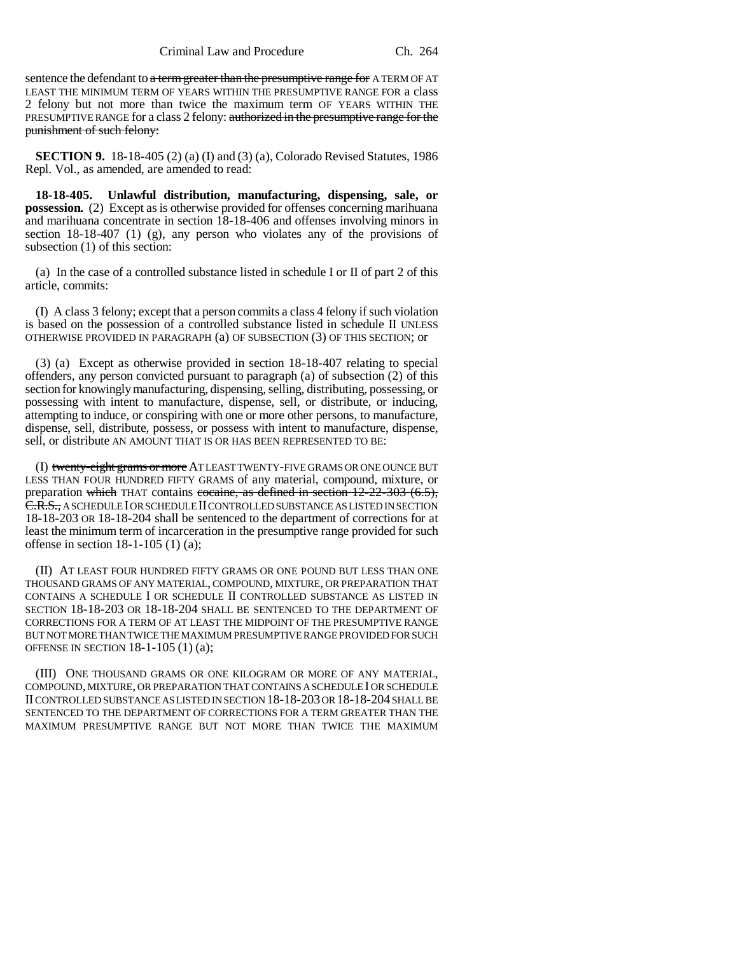sentence the defendant to a term greater than the presumptive range for A TERM OF AT LEAST THE MINIMUM TERM OF YEARS WITHIN THE PRESUMPTIVE RANGE FOR a class 2 felony but not more than twice the maximum term OF YEARS WITHIN THE PRESUMPTIVE RANGE for a class 2 felony: authorized in the presumptive range for the punishment of such felony:

**SECTION 9.** 18-18-405 (2) (a) (I) and (3) (a), Colorado Revised Statutes, 1986 Repl. Vol., as amended, are amended to read:

**18-18-405. Unlawful distribution, manufacturing, dispensing, sale, or possession.** (2) Except as is otherwise provided for offenses concerning marihuana and marihuana concentrate in section 18-18-406 and offenses involving minors in section  $18-18-407$  (1) (g), any person who violates any of the provisions of subsection (1) of this section:

(a) In the case of a controlled substance listed in schedule I or II of part 2 of this article, commits:

(I) A class 3 felony; except that a person commits a class 4 felony if such violation is based on the possession of a controlled substance listed in schedule II UNLESS OTHERWISE PROVIDED IN PARAGRAPH (a) OF SUBSECTION (3) OF THIS SECTION; or

(3) (a) Except as otherwise provided in section 18-18-407 relating to special offenders, any person convicted pursuant to paragraph (a) of subsection (2) of this section for knowingly manufacturing, dispensing, selling, distributing, possessing, or possessing with intent to manufacture, dispense, sell, or distribute, or inducing, attempting to induce, or conspiring with one or more other persons, to manufacture, dispense, sell, distribute, possess, or possess with intent to manufacture, dispense, sell, or distribute AN AMOUNT THAT IS OR HAS BEEN REPRESENTED TO BE:

(I) twenty-eight grams or more AT LEAST TWENTY-FIVE GRAMS OR ONE OUNCE BUT LESS THAN FOUR HUNDRED FIFTY GRAMS of any material, compound, mixture, or preparation which THAT contains cocaine, as defined in section 12-22-303 (6.5), C.R.S., A SCHEDULE I OR SCHEDULE II CONTROLLED SUBSTANCE AS LISTED IN SECTION 18-18-203 OR 18-18-204 shall be sentenced to the department of corrections for at least the minimum term of incarceration in the presumptive range provided for such offense in section 18-1-105 (1) (a);

(II) AT LEAST FOUR HUNDRED FIFTY GRAMS OR ONE POUND BUT LESS THAN ONE THOUSAND GRAMS OF ANY MATERIAL, COMPOUND, MIXTURE, OR PREPARATION THAT CONTAINS A SCHEDULE I OR SCHEDULE II CONTROLLED SUBSTANCE AS LISTED IN SECTION 18-18-203 OR 18-18-204 SHALL BE SENTENCED TO THE DEPARTMENT OF CORRECTIONS FOR A TERM OF AT LEAST THE MIDPOINT OF THE PRESUMPTIVE RANGE BUT NOT MORE THAN TWICE THE MAXIMUM PRESUMPTIVE RANGE PROVIDED FOR SUCH OFFENSE IN SECTION 18-1-105 (1) (a);

(III) ONE THOUSAND GRAMS OR ONE KILOGRAM OR MORE OF ANY MATERIAL, COMPOUND, MIXTURE, OR PREPARATION THAT CONTAINS A SCHEDULE I OR SCHEDULE II CONTROLLED SUBSTANCE AS LISTED IN SECTION 18-18-203 OR 18-18-204 SHALL BE SENTENCED TO THE DEPARTMENT OF CORRECTIONS FOR A TERM GREATER THAN THE MAXIMUM PRESUMPTIVE RANGE BUT NOT MORE THAN TWICE THE MAXIMUM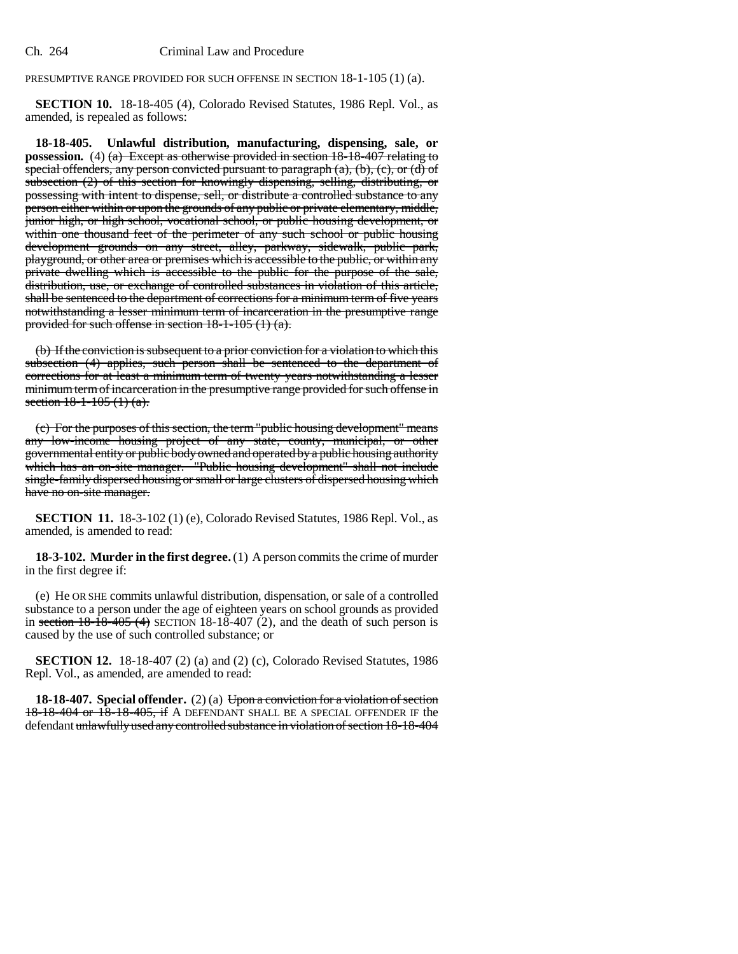#### Ch. 264 Criminal Law and Procedure

## PRESUMPTIVE RANGE PROVIDED FOR SUCH OFFENSE IN SECTION 18-1-105 (1) (a).

**SECTION 10.** 18-18-405 (4), Colorado Revised Statutes, 1986 Repl. Vol., as amended, is repealed as follows:

**18-18-405. Unlawful distribution, manufacturing, dispensing, sale, or possession.** (4) (a) Except as otherwise provided in section 18-18-407 relating to special offenders, any person convicted pursuant to paragraph  $(a)$ ,  $(b)$ ,  $(c)$ , or  $(d)$  of subsection (2) of this section for knowingly dispensing, selling, distributing, or possessing with intent to dispense, sell, or distribute a controlled substance to any person either within or upon the grounds of any public or private elementary, middle, junior high, or high school, vocational school, or public housing development, or within one thousand feet of the perimeter of any such school or public housing development grounds on any street, alley, parkway, sidewalk, public park, playground, or other area or premises which is accessible to the public, or within any private dwelling which is accessible to the public for the purpose of the sale, distribution, use, or exchange of controlled substances in violation of this article, shall be sentenced to the department of corrections for a minimum term of five years notwithstanding a lesser minimum term of incarceration in the presumptive range provided for such offense in section 18-1-105 (1) (a).

(b) If the conviction is subsequent to a prior conviction for a violation to which this subsection (4) applies, such person shall be sentenced to the department of corrections for at least a minimum term of twenty years notwithstanding a lesser minimum term of incarceration in the presumptive range provided for such offense in section  $18-1-105(1)(a)$ .

(c) For the purposes of this section, the term "public housing development" means any low-income housing project of any state, county, municipal, or other governmental entity or public body owned and operated by a public housing authority which has an on-site manager. "Public housing development" shall not include single-family dispersed housing or small or large clusters of dispersed housing which have no on-site manager.

**SECTION 11.** 18-3-102 (1) (e), Colorado Revised Statutes, 1986 Repl. Vol., as amended, is amended to read:

**18-3-102. Murder in the first degree.** (1) A person commits the crime of murder in the first degree if:

(e) He OR SHE commits unlawful distribution, dispensation, or sale of a controlled substance to a person under the age of eighteen years on school grounds as provided in section  $18-18-405$  (4) SECTION 18-18-407 (2), and the death of such person is caused by the use of such controlled substance; or

**SECTION 12.** 18-18-407 (2) (a) and (2) (c), Colorado Revised Statutes, 1986 Repl. Vol., as amended, are amended to read:

**18-18-407.** Special offender. (2) (a) Upon a conviction for a violation of section 18-18-404 or 18-18-405, if A DEFENDANT SHALL BE A SPECIAL OFFENDER IF the defendant unlawfully used any controlled substance in violation of section 18-18-404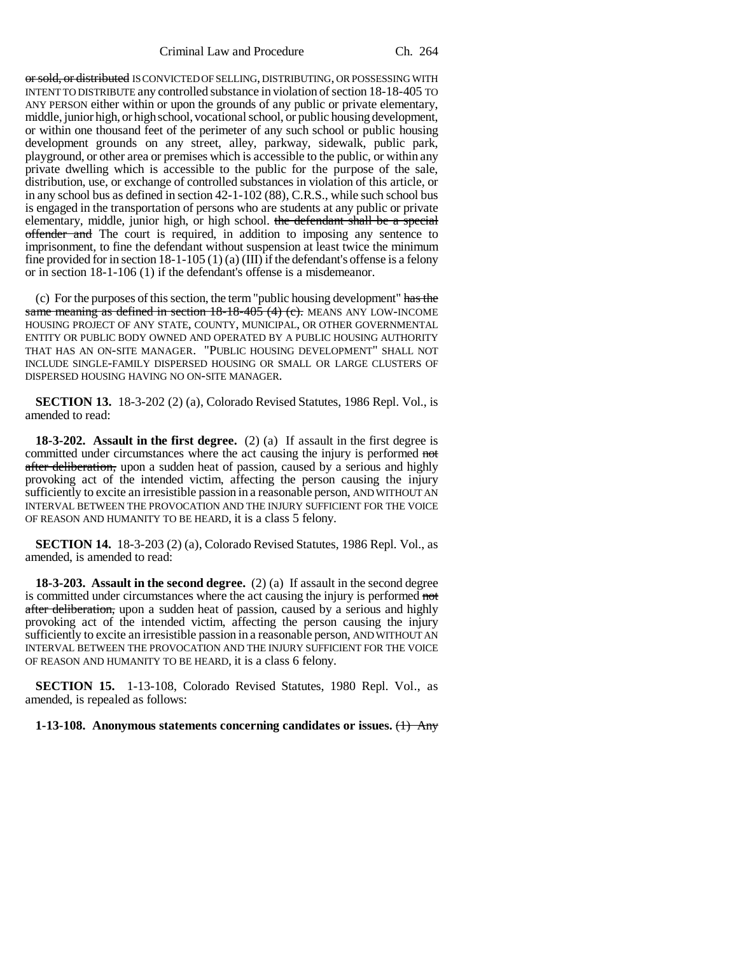Criminal Law and Procedure Ch. 264

or sold, or distributed IS CONVICTED OF SELLING, DISTRIBUTING, OR POSSESSING WITH INTENT TO DISTRIBUTE any controlled substance in violation of section 18-18-405 TO ANY PERSON either within or upon the grounds of any public or private elementary, middle, junior high, or high school, vocational school, or public housing development, or within one thousand feet of the perimeter of any such school or public housing development grounds on any street, alley, parkway, sidewalk, public park, playground, or other area or premises which is accessible to the public, or within any private dwelling which is accessible to the public for the purpose of the sale, distribution, use, or exchange of controlled substances in violation of this article, or in any school bus as defined in section 42-1-102 (88), C.R.S., while such school bus is engaged in the transportation of persons who are students at any public or private elementary, middle, junior high, or high school. the defendant shall be a special offender and The court is required, in addition to imposing any sentence to imprisonment, to fine the defendant without suspension at least twice the minimum fine provided for in section  $18-1-105(1)$  (a) (III) if the defendant's offense is a felony or in section 18-1-106 (1) if the defendant's offense is a misdemeanor.

(c) For the purposes of this section, the term "public housing development" has the same meaning as defined in section 18-18-405 (4) (c). MEANS ANY LOW-INCOME HOUSING PROJECT OF ANY STATE, COUNTY, MUNICIPAL, OR OTHER GOVERNMENTAL ENTITY OR PUBLIC BODY OWNED AND OPERATED BY A PUBLIC HOUSING AUTHORITY THAT HAS AN ON-SITE MANAGER. "PUBLIC HOUSING DEVELOPMENT" SHALL NOT INCLUDE SINGLE-FAMILY DISPERSED HOUSING OR SMALL OR LARGE CLUSTERS OF DISPERSED HOUSING HAVING NO ON-SITE MANAGER.

**SECTION 13.** 18-3-202 (2) (a), Colorado Revised Statutes, 1986 Repl. Vol., is amended to read:

**18-3-202. Assault in the first degree.** (2) (a) If assault in the first degree is committed under circumstances where the act causing the injury is performed not after deliberation, upon a sudden heat of passion, caused by a serious and highly provoking act of the intended victim, affecting the person causing the injury sufficiently to excite an irresistible passion in a reasonable person, AND WITHOUT AN INTERVAL BETWEEN THE PROVOCATION AND THE INJURY SUFFICIENT FOR THE VOICE OF REASON AND HUMANITY TO BE HEARD, it is a class 5 felony.

**SECTION 14.** 18-3-203 (2) (a), Colorado Revised Statutes, 1986 Repl. Vol., as amended, is amended to read:

**18-3-203. Assault in the second degree.** (2) (a) If assault in the second degree is committed under circumstances where the act causing the injury is performed not after deliberation, upon a sudden heat of passion, caused by a serious and highly provoking act of the intended victim, affecting the person causing the injury sufficiently to excite an irresistible passion in a reasonable person, AND WITHOUT AN INTERVAL BETWEEN THE PROVOCATION AND THE INJURY SUFFICIENT FOR THE VOICE OF REASON AND HUMANITY TO BE HEARD, it is a class 6 felony.

**SECTION 15.** 1-13-108, Colorado Revised Statutes, 1980 Repl. Vol., as amended, is repealed as follows:

**1-13-108. Anonymous statements concerning candidates or issues.** (1) Any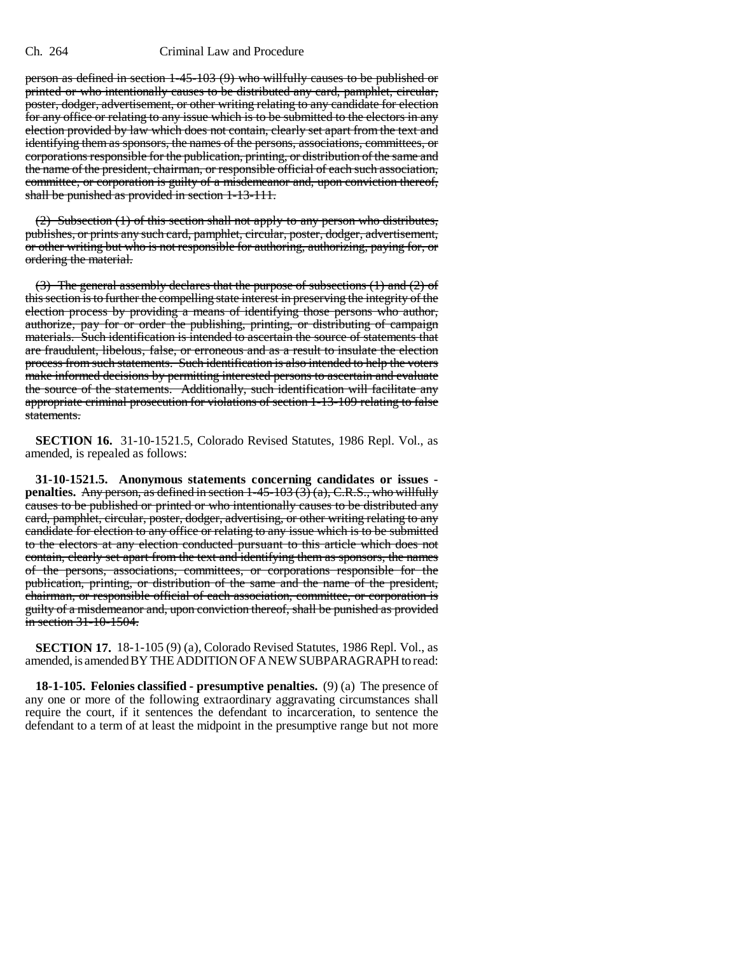## Ch. 264 Criminal Law and Procedure

person as defined in section 1-45-103 (9) who willfully causes to be published or printed or who intentionally causes to be distributed any card, pamphlet, circular, poster, dodger, advertisement, or other writing relating to any candidate for election for any office or relating to any issue which is to be submitted to the electors in any election provided by law which does not contain, clearly set apart from the text and identifying them as sponsors, the names of the persons, associations, committees, or corporations responsible for the publication, printing, or distribution of the same and the name of the president, chairman, or responsible official of each such association, committee, or corporation is guilty of a misdemeanor and, upon conviction thereof, shall be punished as provided in section 1-13-111.

(2) Subsection (1) of this section shall not apply to any person who distributes, publishes, or prints any such card, pamphlet, circular, poster, dodger, advertisement, or other writing but who is not responsible for authoring, authorizing, paying for, or ordering the material.

(3) The general assembly declares that the purpose of subsections (1) and (2) of this section is to further the compelling state interest in preserving the integrity of the election process by providing a means of identifying those persons who author, authorize, pay for or order the publishing, printing, or distributing of campaign materials. Such identification is intended to ascertain the source of statements that are fraudulent, libelous, false, or erroneous and as a result to insulate the election process from such statements. Such identification is also intended to help the voters make informed decisions by permitting interested persons to ascertain and evaluate the source of the statements. Additionally, such identification will facilitate any appropriate criminal prosecution for violations of section 1-13-109 relating to false statements.

**SECTION 16.** 31-10-1521.5, Colorado Revised Statutes, 1986 Repl. Vol., as amended, is repealed as follows:

**31-10-1521.5. Anonymous statements concerning candidates or issues penalties.** Any person, as defined in section 1-45-103 (3) (a), C.R.S., who willfully causes to be published or printed or who intentionally causes to be distributed any card, pamphlet, circular, poster, dodger, advertising, or other writing relating to any candidate for election to any office or relating to any issue which is to be submitted to the electors at any election conducted pursuant to this article which does not contain, clearly set apart from the text and identifying them as sponsors, the names of the persons, associations, committees, or corporations responsible for the publication, printing, or distribution of the same and the name of the president, chairman, or responsible official of each association, committee, or corporation is guilty of a misdemeanor and, upon conviction thereof, shall be punished as provided in section 31-10-1504.

**SECTION 17.** 18-1-105 (9) (a), Colorado Revised Statutes, 1986 Repl. Vol., as amended, is amended BY THE ADDITION OF A NEW SUBPARAGRAPH to read:

**18-1-105. Felonies classified - presumptive penalties.** (9) (a) The presence of any one or more of the following extraordinary aggravating circumstances shall require the court, if it sentences the defendant to incarceration, to sentence the defendant to a term of at least the midpoint in the presumptive range but not more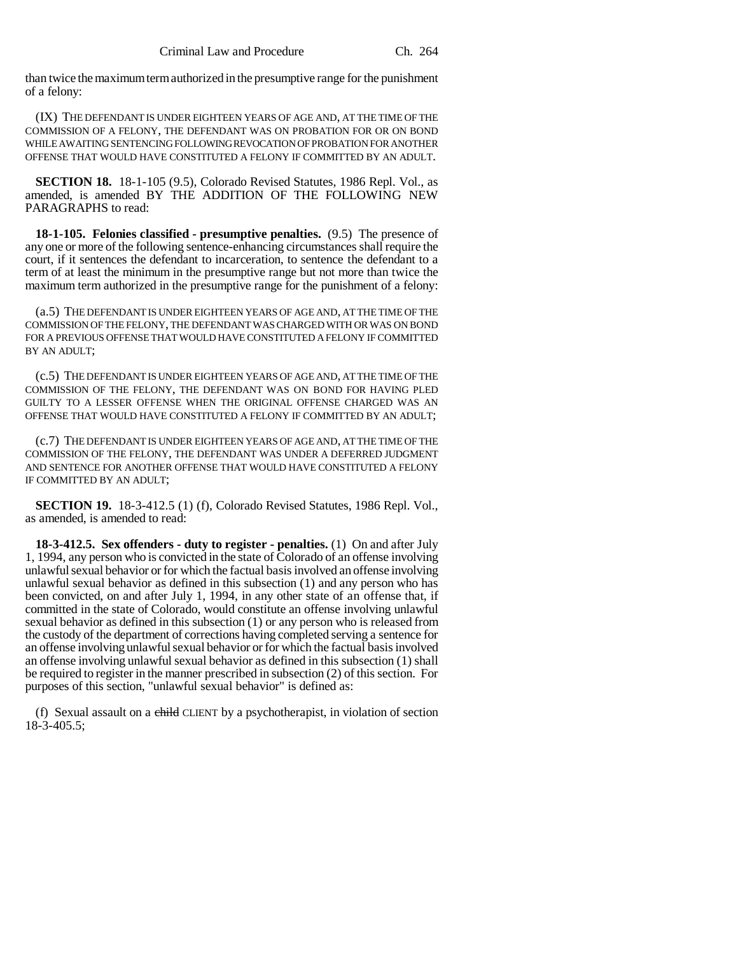than twice the maximum term authorized in the presumptive range for the punishment of a felony:

(IX) THE DEFENDANT IS UNDER EIGHTEEN YEARS OF AGE AND, AT THE TIME OF THE COMMISSION OF A FELONY, THE DEFENDANT WAS ON PROBATION FOR OR ON BOND WHILE AWAITING SENTENCING FOLLOWING REVOCATION OF PROBATION FOR ANOTHER OFFENSE THAT WOULD HAVE CONSTITUTED A FELONY IF COMMITTED BY AN ADULT.

**SECTION 18.** 18-1-105 (9.5), Colorado Revised Statutes, 1986 Repl. Vol., as amended, is amended BY THE ADDITION OF THE FOLLOWING NEW PARAGRAPHS to read:

**18-1-105. Felonies classified - presumptive penalties.** (9.5) The presence of any one or more of the following sentence-enhancing circumstances shall require the court, if it sentences the defendant to incarceration, to sentence the defendant to a term of at least the minimum in the presumptive range but not more than twice the maximum term authorized in the presumptive range for the punishment of a felony:

(a.5) THE DEFENDANT IS UNDER EIGHTEEN YEARS OF AGE AND, AT THE TIME OF THE COMMISSION OF THE FELONY, THE DEFENDANT WAS CHARGED WITH OR WAS ON BOND FOR A PREVIOUS OFFENSE THAT WOULD HAVE CONSTITUTED A FELONY IF COMMITTED BY AN ADULT;

(c.5) THE DEFENDANT IS UNDER EIGHTEEN YEARS OF AGE AND, AT THE TIME OF THE COMMISSION OF THE FELONY, THE DEFENDANT WAS ON BOND FOR HAVING PLED GUILTY TO A LESSER OFFENSE WHEN THE ORIGINAL OFFENSE CHARGED WAS AN OFFENSE THAT WOULD HAVE CONSTITUTED A FELONY IF COMMITTED BY AN ADULT;

(c.7) THE DEFENDANT IS UNDER EIGHTEEN YEARS OF AGE AND, AT THE TIME OF THE COMMISSION OF THE FELONY, THE DEFENDANT WAS UNDER A DEFERRED JUDGMENT AND SENTENCE FOR ANOTHER OFFENSE THAT WOULD HAVE CONSTITUTED A FELONY IF COMMITTED BY AN ADULT;

**SECTION 19.** 18-3-412.5 (1) (f), Colorado Revised Statutes, 1986 Repl. Vol., as amended, is amended to read:

**18-3-412.5. Sex offenders - duty to register - penalties.** (1) On and after July 1, 1994, any person who is convicted in the state of Colorado of an offense involving unlawful sexual behavior or for which the factual basis involved an offense involving unlawful sexual behavior as defined in this subsection (1) and any person who has been convicted, on and after July 1, 1994, in any other state of an offense that, if committed in the state of Colorado, would constitute an offense involving unlawful sexual behavior as defined in this subsection (1) or any person who is released from the custody of the department of corrections having completed serving a sentence for an offense involving unlawful sexual behavior or for which the factual basis involved an offense involving unlawful sexual behavior as defined in this subsection (1) shall be required to register in the manner prescribed in subsection (2) of this section. For purposes of this section, "unlawful sexual behavior" is defined as:

(f) Sexual assault on a child CLIENT by a psychotherapist, in violation of section 18-3-405.5;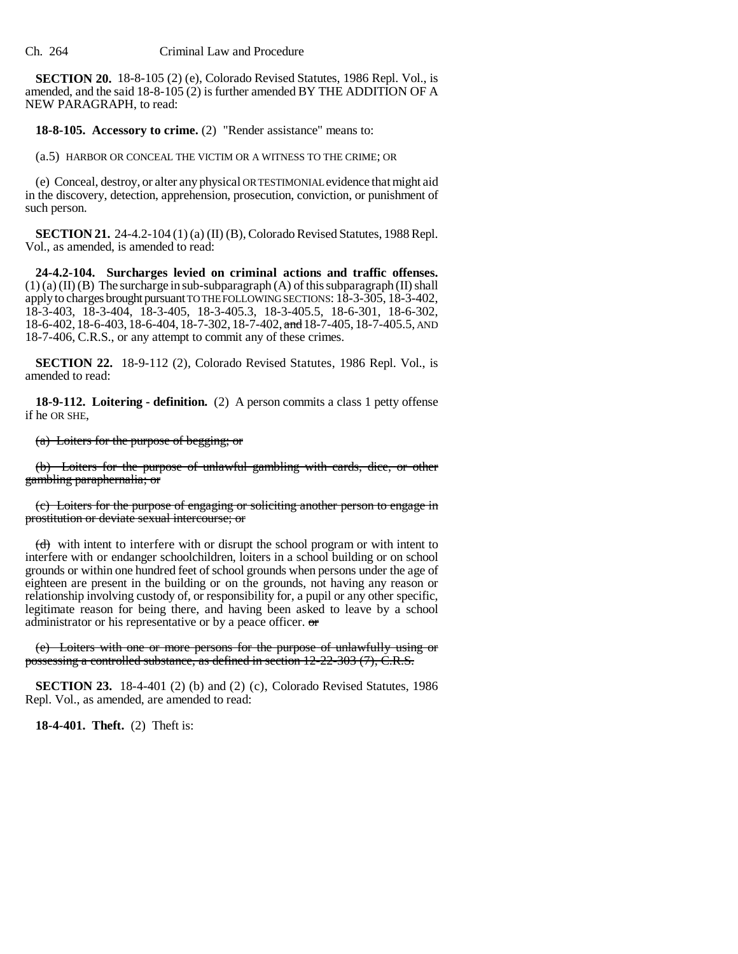**SECTION 20.** 18-8-105 (2) (e), Colorado Revised Statutes, 1986 Repl. Vol., is amended, and the said 18-8-105 (2) is further amended BY THE ADDITION OF A NEW PARAGRAPH, to read:

**18-8-105. Accessory to crime.** (2) "Render assistance" means to:

(a.5) HARBOR OR CONCEAL THE VICTIM OR A WITNESS TO THE CRIME; OR

(e) Conceal, destroy, or alter any physical OR TESTIMONIAL evidence that might aid in the discovery, detection, apprehension, prosecution, conviction, or punishment of such person.

**SECTION 21.** 24-4.2-104 (1) (a) (II) (B), Colorado Revised Statutes, 1988 Repl. Vol., as amended, is amended to read:

**24-4.2-104. Surcharges levied on criminal actions and traffic offenses.**  $(1)$  (a) (II) (B) The surcharge in sub-subparagraph (A) of this subparagraph (II) shall apply to charges brought pursuant TO THE FOLLOWING SECTIONS: 18-3-305, 18-3-402, 18-3-403, 18-3-404, 18-3-405, 18-3-405.3, 18-3-405.5, 18-6-301, 18-6-302, 18-6-402, 18-6-403, 18-6-404, 18-7-302, 18-7-402, and 18-7-405, 18-7-405.5, AND 18-7-406, C.R.S., or any attempt to commit any of these crimes.

**SECTION 22.** 18-9-112 (2), Colorado Revised Statutes, 1986 Repl. Vol., is amended to read:

**18-9-112. Loitering - definition.** (2) A person commits a class 1 petty offense if he OR SHE,

(a) Loiters for the purpose of begging; or

(b) Loiters for the purpose of unlawful gambling with cards, dice, or other gambling paraphernalia; or

(c) Loiters for the purpose of engaging or soliciting another person to engage in prostitution or deviate sexual intercourse; or

 $(d)$  with intent to interfere with or disrupt the school program or with intent to interfere with or endanger schoolchildren, loiters in a school building or on school grounds or within one hundred feet of school grounds when persons under the age of eighteen are present in the building or on the grounds, not having any reason or relationship involving custody of, or responsibility for, a pupil or any other specific, legitimate reason for being there, and having been asked to leave by a school administrator or his representative or by a peace officer. or

(e) Loiters with one or more persons for the purpose of unlawfully using or possessing a controlled substance, as defined in section 12-22-303 (7), C.R.S.

**SECTION 23.** 18-4-401 (2) (b) and (2) (c), Colorado Revised Statutes, 1986 Repl. Vol., as amended, are amended to read:

**18-4-401. Theft.** (2) Theft is: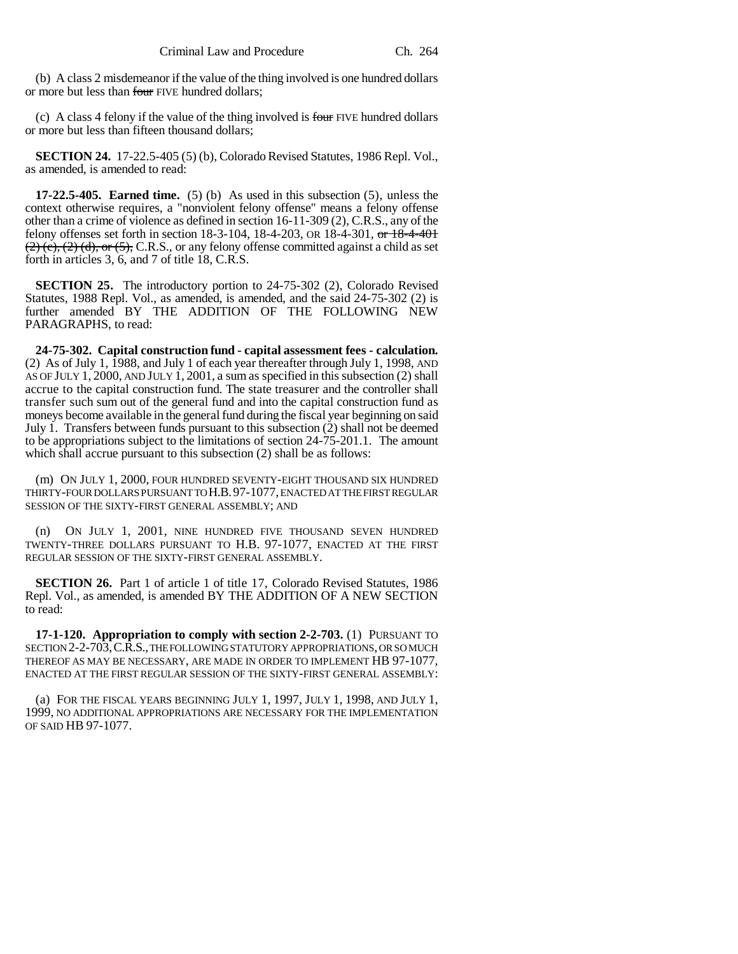(b) A class 2 misdemeanor if the value of the thing involved is one hundred dollars or more but less than four FIVE hundred dollars;

(c) A class 4 felony if the value of the thing involved is four FIVE hundred dollars or more but less than fifteen thousand dollars;

**SECTION 24.** 17-22.5-405 (5) (b), Colorado Revised Statutes, 1986 Repl. Vol., as amended, is amended to read:

**17-22.5-405. Earned time.** (5) (b) As used in this subsection (5), unless the context otherwise requires, a "nonviolent felony offense" means a felony offense other than a crime of violence as defined in section 16-11-309 (2), C.R.S., any of the felony offenses set forth in section 18-3-104, 18-4-203, OR 18-4-301, or 18-4-401  $(2)$  (c), (2) (d), or (5), C.R.S., or any felony offense committed against a child as set forth in articles 3, 6, and 7 of title 18, C.R.S.

**SECTION 25.** The introductory portion to 24-75-302 (2), Colorado Revised Statutes, 1988 Repl. Vol., as amended, is amended, and the said 24-75-302 (2) is further amended BY THE ADDITION OF THE FOLLOWING NEW PARAGRAPHS, to read:

**24-75-302. Capital construction fund - capital assessment fees - calculation.** (2) As of July 1, 1988, and July 1 of each year thereafter through July 1, 1998, AND AS OF JULY 1, 2000, AND JULY 1, 2001, a sum as specified in this subsection (2) shall accrue to the capital construction fund. The state treasurer and the controller shall transfer such sum out of the general fund and into the capital construction fund as moneys become available in the general fund during the fiscal year beginning on said July 1. Transfers between funds pursuant to this subsection (2) shall not be deemed to be appropriations subject to the limitations of section 24-75-201.1. The amount which shall accrue pursuant to this subsection (2) shall be as follows:

(m) ON JULY 1, 2000, FOUR HUNDRED SEVENTY-EIGHT THOUSAND SIX HUNDRED THIRTY-FOUR DOLLARS PURSUANT TO H.B.97-1077, ENACTED AT THE FIRST REGULAR SESSION OF THE SIXTY-FIRST GENERAL ASSEMBLY; AND

(n) ON JULY 1, 2001, NINE HUNDRED FIVE THOUSAND SEVEN HUNDRED TWENTY-THREE DOLLARS PURSUANT TO H.B. 97-1077, ENACTED AT THE FIRST REGULAR SESSION OF THE SIXTY-FIRST GENERAL ASSEMBLY.

**SECTION 26.** Part 1 of article 1 of title 17, Colorado Revised Statutes, 1986 Repl. Vol., as amended, is amended BY THE ADDITION OF A NEW SECTION to read:

**17-1-120. Appropriation to comply with section 2-2-703.** (1) PURSUANT TO SECTION 2-2-703, C.R.S., THE FOLLOWING STATUTORY APPROPRIATIONS, OR SOMUCH THEREOF AS MAY BE NECESSARY, ARE MADE IN ORDER TO IMPLEMENT HB 97-1077, ENACTED AT THE FIRST REGULAR SESSION OF THE SIXTY-FIRST GENERAL ASSEMBLY:

(a) FOR THE FISCAL YEARS BEGINNING JULY 1, 1997, JULY 1, 1998, AND JULY 1, 1999, NO ADDITIONAL APPROPRIATIONS ARE NECESSARY FOR THE IMPLEMENTATION OF SAID HB 97-1077.